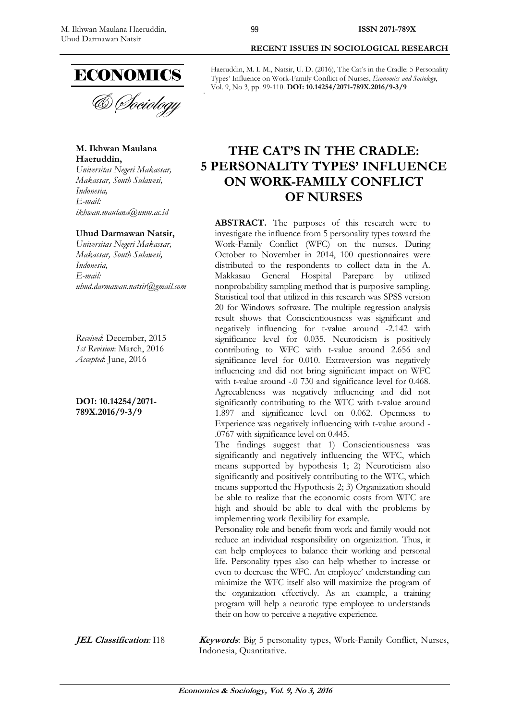

**M. Ikhwan Maulana Haeruddin,** 

*Universitas Negeri Makassar, Makassar, South Sulawesi, Indonesia, E-mail: ikhwan.maulana@unm.ac.id* 

#### **Uhud Darmawan Natsir,**

*Universitas Negeri Makassar, Makassar, South Sulawesi, Indonesia, E-mail: uhud.darmawan.natsir@gmail.com*

*Received*: December, 2015 *1st Revision*: March, 2016 *Accepted*: June, 2016

**DOI: 10.14254/2071- 789X.2016/9-3/9**

**RECENT ISSUES IN SOCIOLOGICAL RESEARCH** 

Haeruddin, M. I. M., Natsir, U. D. (2016), The Cat's in the Cradle: 5 Personality Types' Influence on Work-Family Conflict of Nurses, *Economics and Sociology*, Vol. 9, No 3, pp. 99-110. **DOI: 10.14254/2071-789X.2016/9-3/9** 

# **7HE CAT'S IN THE CRADLE: 5 PERSONALITY TYPES' INFLUENCE ON WORK-FAMILY CONFLICT OF NURSES**

**ABSTRACT.** The purposes of this research were to investigate the influence from 5 personality types toward the Work-Family Conflict (WFC) on the nurses. During October to November in 2014, 100 questionnaires were distributed to the respondents to collect data in the A. Makkasau General Hospital Parepare by utilized nonprobability sampling method that is purposive sampling. Statistical tool that utilized in this research was SPSS version 20 for Windows software. The multiple regression analysis result shows that Conscientiousness was significant and negatively influencing for t-value around -2.142 with significance level for 0.035. Neuroticism is positively contributing to WFC with t-value around 2.656 and significance level for 0.010. Extraversion was negatively influencing and did not bring significant impact on WFC with t-value around -.0 730 and significance level for 0.468. Agreeableness was negatively influencing and did not significantly contributing to the WFC with t-value around 1.897 and significance level on 0.062. Openness to Experience was negatively influencing with t-value around - .0767 with significance level on 0.445.

The findings suggest that 1) Conscientiousness was significantly and negatively influencing the WFC, which means supported by hypothesis 1; 2) Neuroticism also significantly and positively contributing to the WFC, which means supported the Hypothesis 2; 3) Organization should be able to realize that the economic costs from WFC are high and should be able to deal with the problems by implementing work flexibility for example.

Personality role and benefit from work and family would not reduce an individual responsibility on organization. Thus, it can help employees to balance their working and personal life. Personality types also can help whether to increase or even to decrease the WFC. An employee' understanding can minimize the WFC itself also will maximize the program of the organization effectively. As an example, a training program will help a neurotic type employee to understands their on how to perceive a negative experience.

**JEL Classification**: I18 **Keywords**: Big 5 personality types, Work-Family Conflict, Nurses, Indonesia, Quantitative.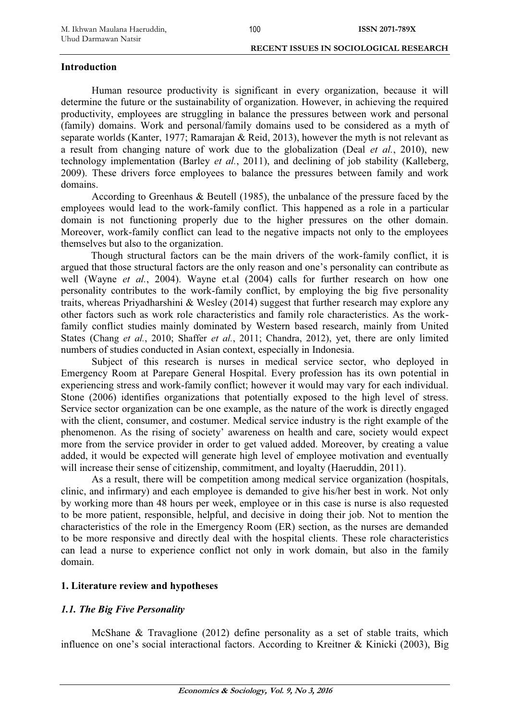#### **Introduction**

Human resource productivity is significant in every organization, because it will determine the future or the sustainability of organization. However, in achieving the required productivity, employees are struggling in balance the pressures between work and personal (family) domains. Work and personal/family domains used to be considered as a myth of separate worlds (Kanter, 1977; Ramarajan & Reid, 2013), however the myth is not relevant as a result from changing nature of work due to the globalization (Deal *et al.*, 2010), new technology implementation (Barley *et al.*, 2011), and declining of job stability (Kalleberg, 2009). These drivers force employees to balance the pressures between family and work domains.

According to Greenhaus & Beutell (1985), the unbalance of the pressure faced by the employees would lead to the work-family conflict. This happened as a role in a particular domain is not functioning properly due to the higher pressures on the other domain. Moreover, work-family conflict can lead to the negative impacts not only to the employees themselves but also to the organization.

Though structural factors can be the main drivers of the work-family conflict, it is argued that those structural factors are the only reason and one's personality can contribute as well (Wayne *et al.*, 2004). Wayne et.al (2004) calls for further research on how one personality contributes to the work-family conflict, by employing the big five personality traits, whereas Priyadharshini & Wesley (2014) suggest that further research may explore any other factors such as work role characteristics and family role characteristics. As the workfamily conflict studies mainly dominated by Western based research, mainly from United States (Chang *et al.*, 2010; Shaffer *et al.*, 2011; Chandra, 2012), yet, there are only limited numbers of studies conducted in Asian context, especially in Indonesia.

Subject of this research is nurses in medical service sector, who deployed in Emergency Room at Parepare General Hospital. Every profession has its own potential in experiencing stress and work-family conflict; however it would may vary for each individual. Stone (2006) identifies organizations that potentially exposed to the high level of stress. Service sector organization can be one example, as the nature of the work is directly engaged with the client, consumer, and costumer. Medical service industry is the right example of the phenomenon. As the rising of society' awareness on health and care, society would expect more from the service provider in order to get valued added. Moreover, by creating a value added, it would be expected will generate high level of employee motivation and eventually will increase their sense of citizenship, commitment, and loyalty (Haeruddin, 2011).

As a result, there will be competition among medical service organization (hospitals, clinic, and infirmary) and each employee is demanded to give his/her best in work. Not only by working more than 48 hours per week, employee or in this case is nurse is also requested to be more patient, responsible, helpful, and decisive in doing their job. Not to mention the characteristics of the role in the Emergency Room (ER) section, as the nurses are demanded to be more responsive and directly deal with the hospital clients. These role characteristics can lead a nurse to experience conflict not only in work domain, but also in the family domain.

## **1. Literature review and hypotheses**

# *1.1. The Big Five Personality*

McShane  $\&$  Travaglione (2012) define personality as a set of stable traits, which influence on one's social interactional factors. According to Kreitner & Kinicki (2003), Big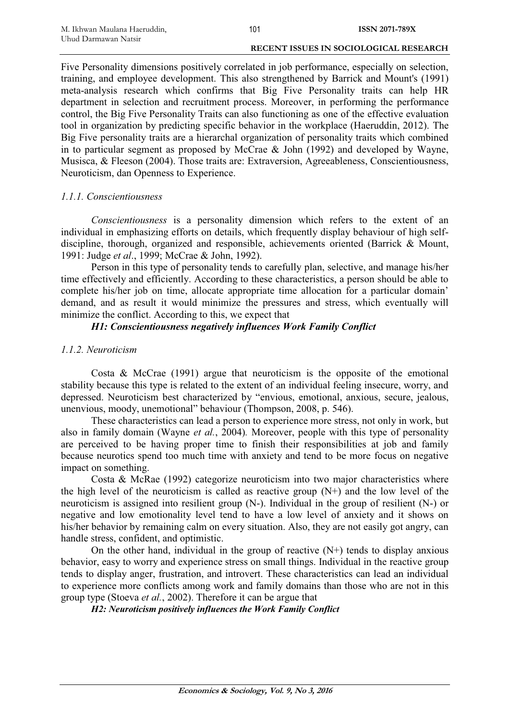Five Personality dimensions positively correlated in job performance, especially on selection, training, and employee development. This also strengthened by Barrick and Mount's (1991) meta-analysis research which confirms that Big Five Personality traits can help HR department in selection and recruitment process. Moreover, in performing the performance control, the Big Five Personality Traits can also functioning as one of the effective evaluation tool in organization by predicting specific behavior in the workplace (Haeruddin, 2012). The Big Five personality traits are a hierarchal organization of personality traits which combined in to particular segment as proposed by McCrae & John (1992) and developed by Wayne, Musisca, & Fleeson (2004). Those traits are: Extraversion, Agreeableness, Conscientiousness, Neuroticism, dan Openness to Experience.

## *1.1.1. Conscientiousness*

*Conscientiousness* is a personality dimension which refers to the extent of an individual in emphasizing efforts on details, which frequently display behaviour of high selfdiscipline, thorough, organized and responsible, achievements oriented (Barrick & Mount, 1991: Judge *et al*., 1999; McCrae & John, 1992).

Person in this type of personality tends to carefully plan, selective, and manage his/her time effectively and efficiently. According to these characteristics, a person should be able to complete his/her job on time, allocate appropriate time allocation for a particular domain' demand, and as result it would minimize the pressures and stress, which eventually will minimize the conflict. According to this, we expect that

# *H1: Conscientiousness negatively influences Work Family Conflict*

## *1.1.2. Neuroticism*

Costa & McCrae (1991) argue that neuroticism is the opposite of the emotional stability because this type is related to the extent of an individual feeling insecure, worry, and depressed. Neuroticism best characterized by "envious, emotional, anxious, secure, jealous, unenvious, moody, unemotional" behaviour (Thompson, 2008, p. 546).

These characteristics can lead a person to experience more stress, not only in work, but also in family domain (Wayne *et al.*, 2004)*.* Moreover, people with this type of personality are perceived to be having proper time to finish their responsibilities at job and family because neurotics spend too much time with anxiety and tend to be more focus on negative impact on something.

Costa & McRae (1992) categorize neuroticism into two major characteristics where the high level of the neuroticism is called as reactive group  $(N+)$  and the low level of the neuroticism is assigned into resilient group (N-). Individual in the group of resilient (N-) or negative and low emotionality level tend to have a low level of anxiety and it shows on his/her behavior by remaining calm on every situation. Also, they are not easily got angry, can handle stress, confident, and optimistic.

On the other hand, individual in the group of reactive  $(N+)$  tends to display anxious behavior, easy to worry and experience stress on small things. Individual in the reactive group tends to display anger, frustration, and introvert. These characteristics can lead an individual to experience more conflicts among work and family domains than those who are not in this group type (Stoeva *et al.*, 2002). Therefore it can be argue that

*H2: Neuroticism positively influences the Work Family Conflict*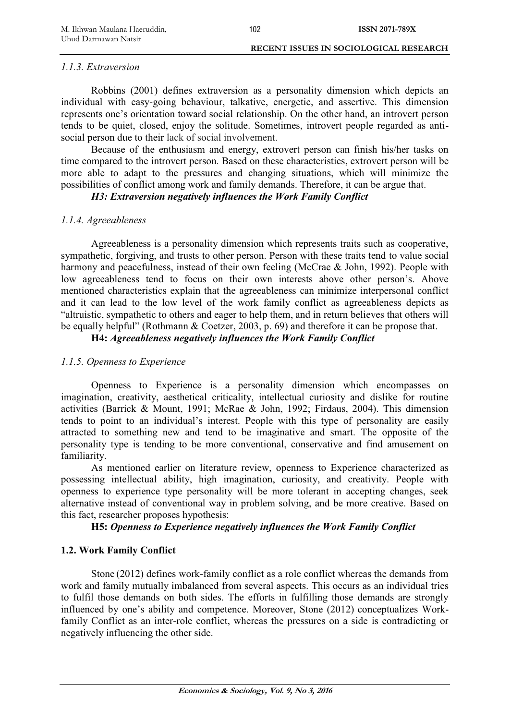#### *1.1.3. Extraversion*

Robbins (2001) defines extraversion as a personality dimension which depicts an individual with easy-going behaviour, talkative, energetic, and assertive. This dimension represents one's orientation toward social relationship. On the other hand, an introvert person tends to be quiet, closed, enjoy the solitude. Sometimes, introvert people regarded as antisocial person due to their lack of social involvement.

Because of the enthusiasm and energy, extrovert person can finish his/her tasks on time compared to the introvert person. Based on these characteristics, extrovert person will be more able to adapt to the pressures and changing situations, which will minimize the possibilities of conflict among work and family demands. Therefore, it can be argue that.

*H3: Extraversion negatively influences the Work Family Conflict* 

#### *1.1.4. Agreeableness*

Agreeableness is a personality dimension which represents traits such as cooperative, sympathetic, forgiving, and trusts to other person. Person with these traits tend to value social harmony and peacefulness, instead of their own feeling (McCrae & John, 1992). People with low agreeableness tend to focus on their own interests above other person's. Above mentioned characteristics explain that the agreeableness can minimize interpersonal conflict and it can lead to the low level of the work family conflict as agreeableness depicts as "altruistic, sympathetic to others and eager to help them, and in return believes that others will be equally helpful" (Rothmann & Coetzer, 2003, p. 69) and therefore it can be propose that.

**H4:** *Agreeableness negatively influences the Work Family C***o***nflict* 

## *1.1.5. Openness to Experience*

Openness to Experience is a personality dimension which encompasses on imagination, creativity, aesthetical criticality, intellectual curiosity and dislike for routine activities (Barrick & Mount, 1991; McRae & John, 1992; Firdaus, 2004). This dimension tends to point to an individual's interest. People with this type of personality are easily attracted to something new and tend to be imaginative and smart. The opposite of the personality type is tending to be more conventional, conservative and find amusement on familiarity.

As mentioned earlier on literature review, openness to Experience characterized as possessing intellectual ability, high imagination, curiosity, and creativity. People with openness to experience type personality will be more tolerant in accepting changes, seek alternative instead of conventional way in problem solving, and be more creative. Based on this fact, researcher proposes hypothesis:

## **H5:** *Openness to Experience negatively influences the Work Family Conflict*

### **1.2. Work Family Conflict**

Stone (2012) defines work-family conflict as a role conflict whereas the demands from work and family mutually imbalanced from several aspects. This occurs as an individual tries to fulfil those demands on both sides. The efforts in fulfilling those demands are strongly influenced by one's ability and competence. Moreover, Stone (2012) conceptualizes Workfamily Conflict as an inter-role conflict, whereas the pressures on a side is contradicting or negatively influencing the other side.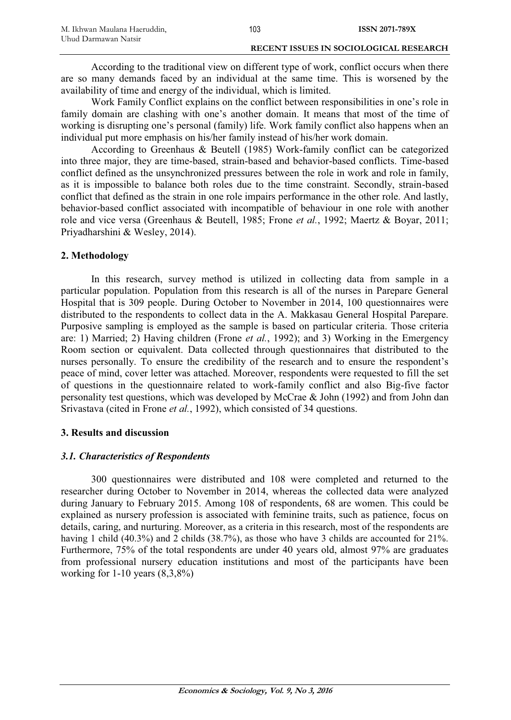According to the traditional view on different type of work, conflict occurs when there are so many demands faced by an individual at the same time. This is worsened by the availability of time and energy of the individual, which is limited.

Work Family Conflict explains on the conflict between responsibilities in one's role in family domain are clashing with one's another domain. It means that most of the time of working is disrupting one's personal (family) life. Work family conflict also happens when an individual put more emphasis on his/her family instead of his/her work domain.

According to Greenhaus & Beutell (1985) Work-family conflict can be categorized into three major, they are time-based, strain-based and behavior-based conflicts. Time-based conflict defined as the unsynchronized pressures between the role in work and role in family, as it is impossible to balance both roles due to the time constraint. Secondly, strain-based conflict that defined as the strain in one role impairs performance in the other role. And lastly, behavior-based conflict associated with incompatible of behaviour in one role with another role and vice versa (Greenhaus & Beutell, 1985; Frone *et al.*, 1992; Maertz & Boyar, 2011; Priyadharshini & Wesley, 2014).

## **2. Methodology**

In this research, survey method is utilized in collecting data from sample in a particular population. Population from this research is all of the nurses in Parepare General Hospital that is 309 people. During October to November in 2014, 100 questionnaires were distributed to the respondents to collect data in the A. Makkasau General Hospital Parepare. Purposive sampling is employed as the sample is based on particular criteria. Those criteria are: 1) Married; 2) Having children (Frone *et al.*, 1992); and 3) Working in the Emergency Room section or equivalent. Data collected through questionnaires that distributed to the nurses personally. To ensure the credibility of the research and to ensure the respondent's peace of mind, cover letter was attached. Moreover, respondents were requested to fill the set of questions in the questionnaire related to work-family conflict and also Big-five factor personality test questions, which was developed by McCrae & John (1992) and from John dan Srivastava (cited in Frone *et al.*, 1992), which consisted of 34 questions.

## **3. Results and discussion**

## *3.1. Characteristics of Respondents*

300 questionnaires were distributed and 108 were completed and returned to the researcher during October to November in 2014, whereas the collected data were analyzed during January to February 2015. Among 108 of respondents, 68 are women. This could be explained as nursery profession is associated with feminine traits, such as patience, focus on details, caring, and nurturing. Moreover, as a criteria in this research, most of the respondents are having 1 child (40.3%) and 2 childs (38.7%), as those who have 3 childs are accounted for 21%. Furthermore, 75% of the total respondents are under 40 years old, almost 97% are graduates from professional nursery education institutions and most of the participants have been working for  $1-10$  years  $(8,3,8\%)$ 

103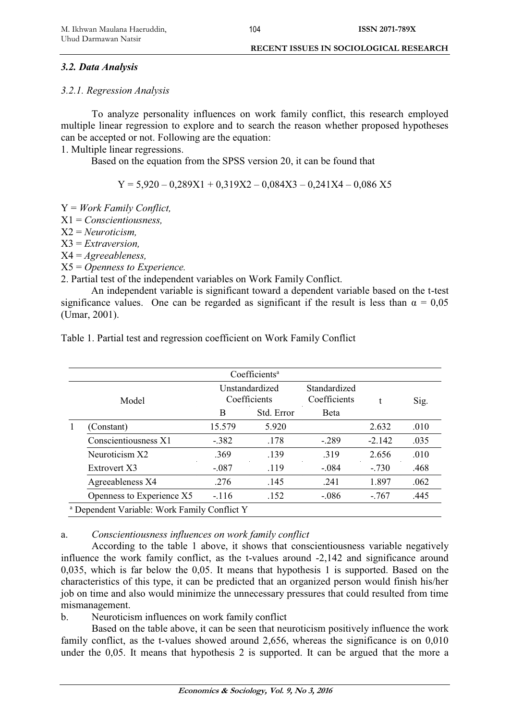#### *3.2. Data Analysis*

#### *3.2.1. Regression Analysis*

To analyze personality influences on work family conflict, this research employed multiple linear regression to explore and to search the reason whether proposed hypotheses can be accepted or not. Following are the equation:

1. Multiple linear regressions.

Based on the equation from the SPSS version 20, it can be found that

 $Y = 5.920 - 0.289X1 + 0.319X2 - 0.084X3 - 0.241X4 - 0.086X5$ 

Y = *Work Family Conflict,* 

X1 = *Conscientiousness,* 

X2 = *Neuroticism,* 

X3 = *Extraversion,* 

X4 = *Agreeableness,* 

X5 = *Openness to Experience.* 

2. Partial test of the independent variables on Work Family Conflict.

An independent variable is significant toward a dependent variable based on the t-test significance values. One can be regarded as significant if the result is less than  $\alpha = 0.05$ (Umar, 2001).

|  |                                                         |                                | Coefficients <sup>a</sup> |                              |          |      |
|--|---------------------------------------------------------|--------------------------------|---------------------------|------------------------------|----------|------|
|  | Model                                                   | Unstandardized<br>Coefficients |                           | Standardized<br>Coefficients |          | Sig. |
|  |                                                         | B                              | Std. Error                | <b>B</b> eta                 |          |      |
|  | (Constant)                                              | 15.579                         | 5.920                     |                              | 2.632    | .010 |
|  | Conscientiousness X1                                    | $-382$                         | .178                      | $-289$                       | $-2.142$ | .035 |
|  | Neuroticism X2                                          | .369                           | .139                      | .319                         | 2.656    | .010 |
|  | Extrovert X3                                            | $-.087$                        | .119                      | $-.084$                      | $-730$   | .468 |
|  | Agreeableness X4                                        | .276                           | .145                      | .241                         | 1.897    | .062 |
|  | Openness to Experience X5                               | $-116$                         | .152                      | $-.086$                      | $-767$   | .445 |
|  | <sup>a</sup> Dependent Variable: Work Family Conflict Y |                                |                           |                              |          |      |

Table 1. Partial test and regression coefficient on Work Family Conflict

## a. *Conscientiousness influences on work family conflict*

According to the table 1 above, it shows that conscientiousness variable negatively influence the work family conflict, as the t-values around -2,142 and significance around 0,035, which is far below the 0,05. It means that hypothesis 1 is supported. Based on the characteristics of this type, it can be predicted that an organized person would finish his/her job on time and also would minimize the unnecessary pressures that could resulted from time mismanagement.

b. Neuroticism influences on work family conflict

Based on the table above, it can be seen that neuroticism positively influence the work family conflict, as the t-values showed around 2,656, whereas the significance is on 0,010 under the 0,05. It means that hypothesis 2 is supported. It can be argued that the more a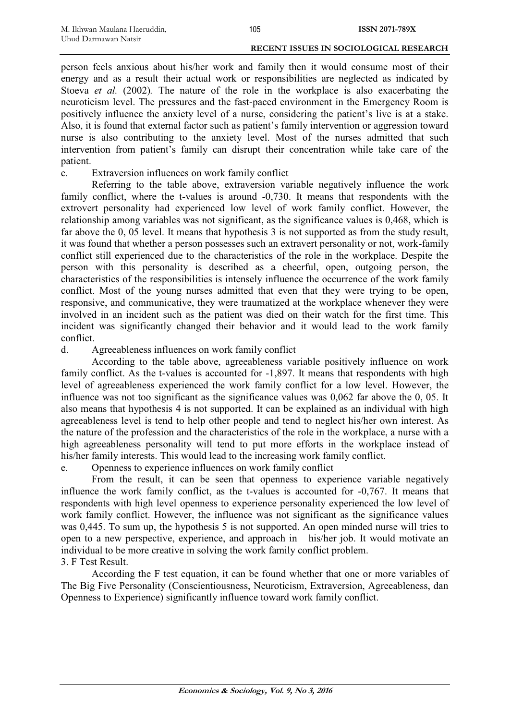person feels anxious about his/her work and family then it would consume most of their energy and as a result their actual work or responsibilities are neglected as indicated by Stoeva *et al.* (2002)*.* The nature of the role in the workplace is also exacerbating the neuroticism level. The pressures and the fast-paced environment in the Emergency Room is positively influence the anxiety level of a nurse, considering the patient's live is at a stake. Also, it is found that external factor such as patient's family intervention or aggression toward nurse is also contributing to the anxiety level. Most of the nurses admitted that such intervention from patient's family can disrupt their concentration while take care of the patient.

c. Extraversion influences on work family conflict

Referring to the table above, extraversion variable negatively influence the work family conflict, where the t-values is around -0,730. It means that respondents with the extrovert personality had experienced low level of work family conflict. However, the relationship among variables was not significant, as the significance values is 0,468, which is far above the 0, 05 level. It means that hypothesis 3 is not supported as from the study result, it was found that whether a person possesses such an extravert personality or not, work-family conflict still experienced due to the characteristics of the role in the workplace. Despite the person with this personality is described as a cheerful, open, outgoing person, the characteristics of the responsibilities is intensely influence the occurrence of the work family conflict. Most of the young nurses admitted that even that they were trying to be open, responsive, and communicative, they were traumatized at the workplace whenever they were involved in an incident such as the patient was died on their watch for the first time. This incident was significantly changed their behavior and it would lead to the work family conflict.

d. Agreeableness influences on work family conflict

According to the table above, agreeableness variable positively influence on work family conflict. As the t-values is accounted for  $-1,897$ . It means that respondents with high level of agreeableness experienced the work family conflict for a low level. However, the influence was not too significant as the significance values was 0,062 far above the 0, 05. It also means that hypothesis 4 is not supported. It can be explained as an individual with high agreeableness level is tend to help other people and tend to neglect his/her own interest. As the nature of the profession and the characteristics of the role in the workplace, a nurse with a high agreeableness personality will tend to put more efforts in the workplace instead of his/her family interests. This would lead to the increasing work family conflict.

e. Openness to experience influences on work family conflict

From the result, it can be seen that openness to experience variable negatively influence the work family conflict, as the t-values is accounted for -0,767. It means that respondents with high level openness to experience personality experienced the low level of work family conflict. However, the influence was not significant as the significance values was 0,445. To sum up, the hypothesis 5 is not supported. An open minded nurse will tries to open to a new perspective, experience, and approach in his/her job. It would motivate an individual to be more creative in solving the work family conflict problem.

## 3. F Test Result.

According the F test equation, it can be found whether that one or more variables of The Big Five Personality (Conscientiousness, Neuroticism, Extraversion, Agreeableness, dan Openness to Experience) significantly influence toward work family conflict.

**Economics & Sociology, Vol. 9, No 3, 2016**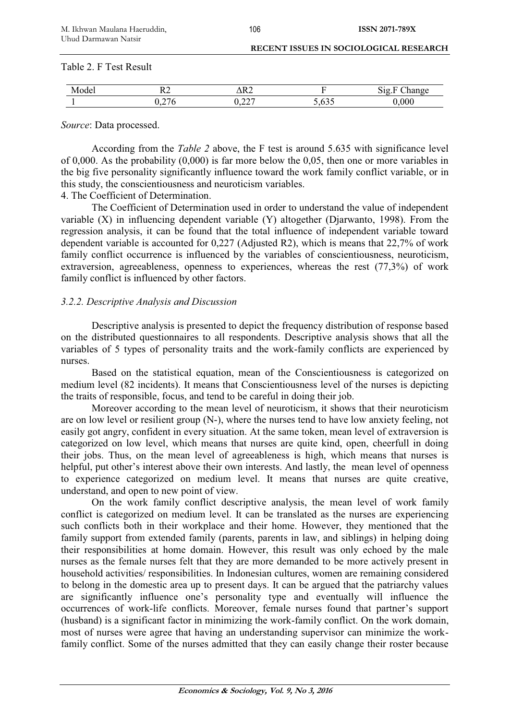Table 2. F Test Result

*Source*: Data processed.

According from the *Table 2* above, the F test is around 5.635 with significance level of 0,000. As the probability (0,000) is far more below the 0,05, then one or more variables in the big five personality significantly influence toward the work family conflict variable, or in this study, the conscientiousness and neuroticism variables.

4. The Coefficient of Determination.

The Coefficient of Determination used in order to understand the value of independent variable  $(X)$  in influencing dependent variable  $(Y)$  altogether (Djarwanto, 1998). From the regression analysis, it can be found that the total influence of independent variable toward dependent variable is accounted for 0,227 (Adjusted R2), which is means that 22,7% of work family conflict occurrence is influenced by the variables of conscientiousness, neuroticism, extraversion, agreeableness, openness to experiences, whereas the rest (77,3%) of work family conflict is influenced by other factors.

#### *3.2.2. Descriptive Analysis and Discussion*

Descriptive analysis is presented to depict the frequency distribution of response based on the distributed questionnaires to all respondents. Descriptive analysis shows that all the variables of 5 types of personality traits and the work-family conflicts are experienced by nurses.

Based on the statistical equation, mean of the Conscientiousness is categorized on medium level (82 incidents). It means that Conscientiousness level of the nurses is depicting the traits of responsible, focus, and tend to be careful in doing their job.

Moreover according to the mean level of neuroticism, it shows that their neuroticism are on low level or resilient group (N-), where the nurses tend to have low anxiety feeling, not easily got angry, confident in every situation. At the same token, mean level of extraversion is categorized on low level, which means that nurses are quite kind, open, cheerfull in doing their jobs. Thus, on the mean level of agreeableness is high, which means that nurses is helpful, put other's interest above their own interests. And lastly, the mean level of openness to experience categorized on medium level. It means that nurses are quite creative, understand, and open to new point of view.

On the work family conflict descriptive analysis, the mean level of work family conflict is categorized on medium level. It can be translated as the nurses are experiencing such conflicts both in their workplace and their home. However, they mentioned that the family support from extended family (parents, parents in law, and siblings) in helping doing their responsibilities at home domain. However, this result was only echoed by the male nurses as the female nurses felt that they are more demanded to be more actively present in household activities/ responsibilities. In Indonesian cultures, women are remaining considered to belong in the domestic area up to present days. It can be argued that the patriarchy values are significantly influence one's personality type and eventually will influence the occurrences of work-life conflicts. Moreover, female nurses found that partner's support (husband) is a significant factor in minimizing the work-family conflict. On the work domain, most of nurses were agree that having an understanding supervisor can minimize the workfamily conflict. Some of the nurses admitted that they can easily change their roster because

106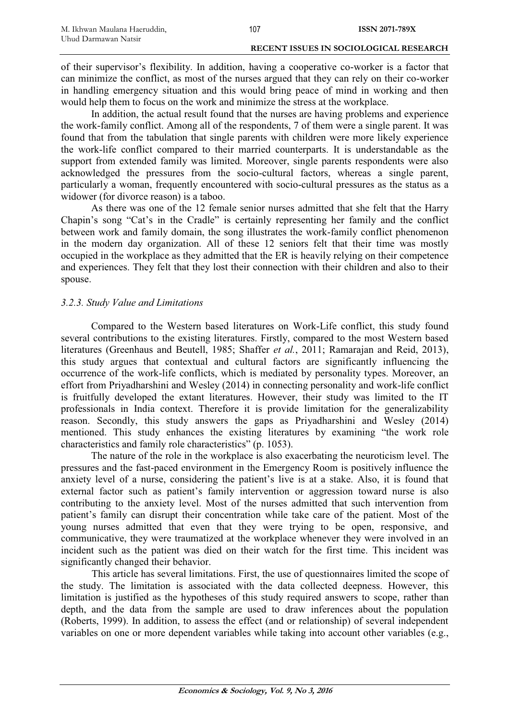of their supervisor's flexibility. In addition, having a cooperative co-worker is a factor that can minimize the conflict, as most of the nurses argued that they can rely on their co-worker in handling emergency situation and this would bring peace of mind in working and then would help them to focus on the work and minimize the stress at the workplace.

In addition, the actual result found that the nurses are having problems and experience the work-family conflict. Among all of the respondents, 7 of them were a single parent. It was found that from the tabulation that single parents with children were more likely experience the work-life conflict compared to their married counterparts. It is understandable as the support from extended family was limited. Moreover, single parents respondents were also acknowledged the pressures from the socio-cultural factors, whereas a single parent, particularly a woman, frequently encountered with socio-cultural pressures as the status as a widower (for divorce reason) is a taboo.

As there was one of the 12 female senior nurses admitted that she felt that the Harry Chapin's song "Cat's in the Cradle" is certainly representing her family and the conflict between work and family domain, the song illustrates the work-family conflict phenomenon in the modern day organization. All of these 12 seniors felt that their time was mostly occupied in the workplace as they admitted that the ER is heavily relying on their competence and experiences. They felt that they lost their connection with their children and also to their spouse.

#### *3.2.3. Study Value and Limitations*

Compared to the Western based literatures on Work-Life conflict, this study found several contributions to the existing literatures. Firstly, compared to the most Western based literatures (Greenhaus and Beutell, 1985; Shaffer *et al.*, 2011; Ramarajan and Reid, 2013), this study argues that contextual and cultural factors are significantly influencing the occurrence of the work-life conflicts, which is mediated by personality types. Moreover, an effort from Priyadharshini and Wesley (2014) in connecting personality and work-life conflict is fruitfully developed the extant literatures. However, their study was limited to the IT professionals in India context. Therefore it is provide limitation for the generalizability reason. Secondly, this study answers the gaps as Priyadharshini and Wesley (2014) mentioned. This study enhances the existing literatures by examining "the work role characteristics and family role characteristics" (p. 1053).

The nature of the role in the workplace is also exacerbating the neuroticism level. The pressures and the fast-paced environment in the Emergency Room is positively influence the anxiety level of a nurse, considering the patient's live is at a stake. Also, it is found that external factor such as patient's family intervention or aggression toward nurse is also contributing to the anxiety level. Most of the nurses admitted that such intervention from patient's family can disrupt their concentration while take care of the patient. Most of the young nurses admitted that even that they were trying to be open, responsive, and communicative, they were traumatized at the workplace whenever they were involved in an incident such as the patient was died on their watch for the first time. This incident was significantly changed their behavior.

This article has several limitations. First, the use of questionnaires limited the scope of the study. The limitation is associated with the data collected deepness. However, this limitation is justified as the hypotheses of this study required answers to scope, rather than depth, and the data from the sample are used to draw inferences about the population (Roberts, 1999). In addition, to assess the effect (and or relationship) of several independent variables on one or more dependent variables while taking into account other variables (e.g.,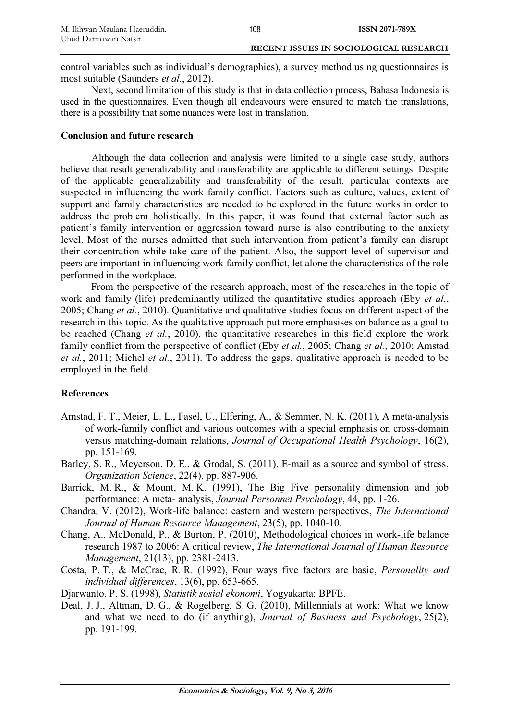control variables such as individual's demographics), a survey method using questionnaires is most suitable (Saunders *et al.*, 2012).

108

Next, second limitation of this study is that in data collection process, Bahasa Indonesia is used in the questionnaires. Even though all endeavours were ensured to match the translations, there is a possibility that some nuances were lost in translation.

#### **Conclusion and future research**

Although the data collection and analysis were limited to a single case study, authors believe that result generalizability and transferability are applicable to different settings. Despite of the applicable generalizability and transferability of the result, particular contexts are suspected in influencing the work family conflict. Factors such as culture, values, extent of support and family characteristics are needed to be explored in the future works in order to address the problem holistically. In this paper, it was found that external factor such as patient's family intervention or aggression toward nurse is also contributing to the anxiety level. Most of the nurses admitted that such intervention from patient's family can disrupt their concentration while take care of the patient. Also, the support level of supervisor and peers are important in influencing work family conflict, let alone the characteristics of the role performed in the workplace.

From the perspective of the research approach, most of the researches in the topic of work and family (life) predominantly utilized the quantitative studies approach (Eby *et al.*, 2005; Chang *et al.*, 2010). Quantitative and qualitative studies focus on different aspect of the research in this topic. As the qualitative approach put more emphasises on balance as a goal to be reached (Chang *et al.*, 2010), the quantitative researches in this field explore the work family conflict from the perspective of conflict (Eby *et al.*, 2005; Chang *et al.*, 2010; Amstad *et al.*, 2011; Michel *et al.*, 2011). To address the gaps, qualitative approach is needed to be employed in the field.

## **References**

- Amstad, F. T., Meier, L. L., Fasel, U., Elfering, A., & Semmer, N. K. (2011), A meta-analysis of work-family conflict and various outcomes with a special emphasis on cross-domain versus matching-domain relations, *Journal of Occupational Health Psychology*, 16(2), pp. 151-169.
- Barley, S. R., Meyerson, D. E., & Grodal, S. (2011), E-mail as a source and symbol of stress, *Organization Science*, 22(4), pp. 887-906.
- Barrick, M. R., & Mount, M. K. (1991), The Big Five personality dimension and job performance: A meta- analysis, *Journal Personnel Psychology*, 44, pp. 1-26.
- Chandra, V. (2012), Work-life balance: eastern and western perspectives, *The International Journal of Human Resource Management*, 23(5), pp. 1040-10.
- Chang, A., McDonald, P., & Burton, P. (2010), Methodological choices in work-life balance research 1987 to 2006: A critical review, *The International Journal of Human Resource Management*, 21(13), pp. 2381-2413.
- Costa, P. T., & McCrae, R. R. (1992), Four ways five factors are basic, *Personality and individual differences*, 13(6), pp. 653-665.
- Djarwanto, P. S. (1998), *Statistik sosial ekonomi*, Yogyakarta: BPFE.
- Deal, J. J., Altman, D. G., & Rogelberg, S. G. (2010), Millennials at work: What we know and what we need to do (if anything), *Journal of Business and Psychology*, 25(2), pp. 191-199.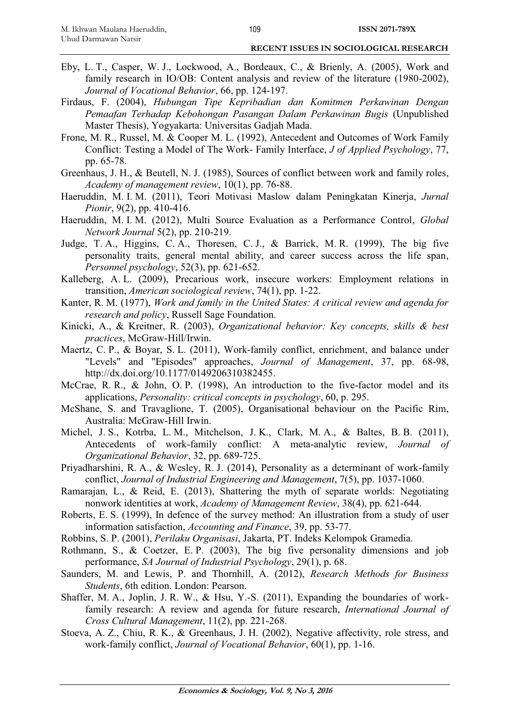- Eby, L. T., Casper, W. J., Lockwood, A., Bordeaux, C., & Brienly, A. (2005), Work and family research in IO/OB: Content analysis and review of the literature (1980-2002), *Journal of Vocational Behavior*, 66, pp. 124-197.
- Firdaus, F. (2004), *Hubungan Tipe Kepribadian dan Komitmen Perkawinan Dengan Pemaafan Terhadap Kebohongan Pasangan Dalam Perkawinan Bugis* (Unpublished Master Thesis), Yogyakarta: Universitas Gadjah Mada.
- Frone, M. R., Russel, M. & Cooper M. L. (1992), Antecedent and Outcomes of Work Family Conflict: Testing a Model of The Work- Family Interface, *J of Applied Psychology*, 77, pp. 65-78.
- Greenhaus, J. H., & Beutell, N. J. (1985), Sources of conflict between work and family roles, *Academy of management review*, 10(1), pp. 76-88.
- Haeruddin, M. I. M. (2011), Teori Motivasi Maslow dalam Peningkatan Kinerja, *Jurnal Pionir*, 9(2), pp. 410-416.
- Haeruddin, M. I. M. (2012), Multi Source Evaluation as a Performance Control, *Global Network Journal* 5(2), pp. 210-219.
- Judge, T. A., Higgins, C. A., Thoresen, C. J., & Barrick, M. R. (1999), The big five personality traits, general mental ability, and career success across the life span, *Personnel psychology*, 52(3), pp. 621-652.
- Kalleberg, A. L. (2009), Precarious work, insecure workers: Employment relations in transition, *American sociological review*, 74(1), pp. 1-22.
- Kanter, R. M. (1977), *Work and family in the United States: A critical review and agenda for research and policy*, Russell Sage Foundation.
- Kinicki, A., & Kreitner, R. (2003), *Organizational behavior: Key concepts, skills & best practices*, McGraw-Hill/Irwin.
- Maertz, C. P., & Boyar, S. L. (2011), Work-family conflict, enrichment, and balance under "Levels" and "Episodes" approaches, *Journal of Management*, 37, pp. 68-98, http://dx.doi.org/10.1177/0149206310382455.
- McCrae, R. R., & John, O. P. (1998), An introduction to the five-factor model and its applications, *Personality: critical concepts in psychology*, 60, p. 295.
- McShane, S. and Travaglione, T. (2005), Organisational behaviour on the Pacific Rim, Australia: McGraw-Hill Irwin.
- Michel, J. S., Kotrba, L. M., Mitchelson, J. K., Clark, M. A., & Baltes, B. B. (2011), Antecedents of work-family conflict: A meta-analytic review, *Journal of Organizational Behavior*, 32, pp. 689-725.
- Priyadharshini, R. A., & Wesley, R. J. (2014), Personality as a determinant of work-family conflict, *Journal of Industrial Engineering and Management*, 7(5), pp. 1037-1060.
- Ramarajan, L., & Reid, E. (2013), Shattering the myth of separate worlds: Negotiating nonwork identities at work, *Academy of Management Review*, 38(4), pp. 621-644.
- Roberts, E. S. (1999), In defence of the survey method: An illustration from a study of user information satisfaction, *Accounting and Finance*, 39, pp. 53-77.
- Robbins, S. P. (2001), *Perilaku Organisasi*, Jakarta, PT. Indeks Kelompok Gramedia.
- Rothmann, S., & Coetzer, E. P. (2003), The big five personality dimensions and job performance, *SA Journal of Industrial Psychology*, 29(1), p. 68.
- Saunders, M. and Lewis, P. and Thornhill, A. (2012), *Research Methods for Business Students*, 6th edition. London: Pearson.
- Shaffer, M. A., Joplin, J. R. W., & Hsu, Y.-S. (2011), Expanding the boundaries of workfamily research: A review and agenda for future research, *International Journal of Cross Cultural Management*, 11(2), pp. 221-268.
- Stoeva, A. Z., Chiu, R. K., & Greenhaus, J. H. (2002), Negative affectivity, role stress, and work-family conflict, *Journal of Vocational Behavior*, 60(1), pp. 1-16.

109